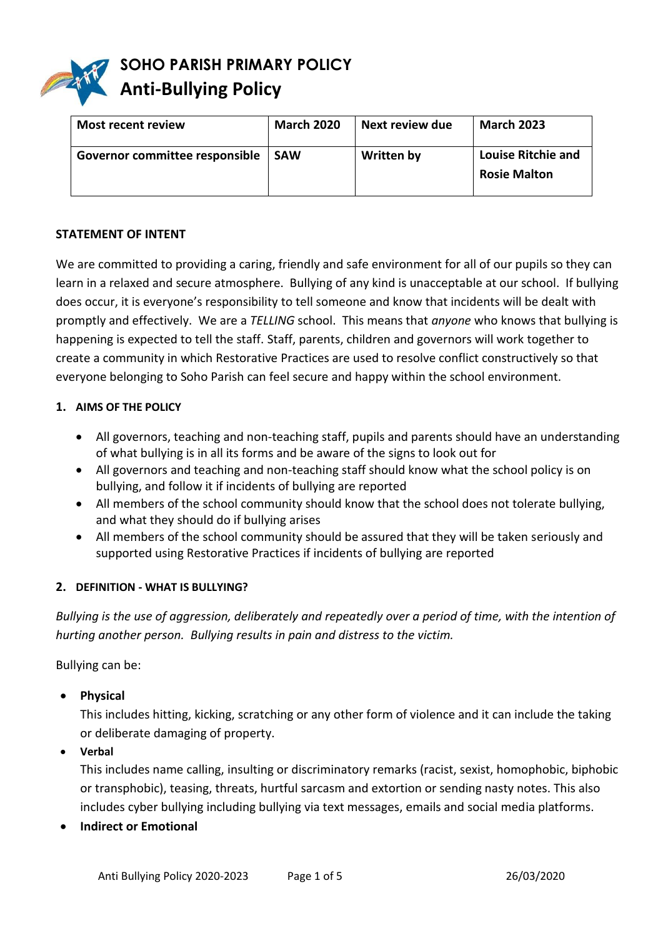

| <b>Most recent review</b>      | <b>March 2020</b> | Next review due | <b>March 2023</b>                                |
|--------------------------------|-------------------|-----------------|--------------------------------------------------|
| Governor committee responsible | <b>SAW</b>        | Written by      | <b>Louise Ritchie and</b><br><b>Rosie Malton</b> |

### **STATEMENT OF INTENT**

We are committed to providing a caring, friendly and safe environment for all of our pupils so they can learn in a relaxed and secure atmosphere. Bullying of any kind is unacceptable at our school. If bullying does occur, it is everyone's responsibility to tell someone and know that incidents will be dealt with promptly and effectively. We are a *TELLING* school. This means that *anyone* who knows that bullying is happening is expected to tell the staff. Staff, parents, children and governors will work together to create a community in which Restorative Practices are used to resolve conflict constructively so that everyone belonging to Soho Parish can feel secure and happy within the school environment.

## **1. AIMS OF THE POLICY**

- All governors, teaching and non-teaching staff, pupils and parents should have an understanding of what bullying is in all its forms and be aware of the signs to look out for
- All governors and teaching and non-teaching staff should know what the school policy is on bullying, and follow it if incidents of bullying are reported
- All members of the school community should know that the school does not tolerate bullying, and what they should do if bullying arises
- All members of the school community should be assured that they will be taken seriously and supported using Restorative Practices if incidents of bullying are reported

### **2. DEFINITION - WHAT IS BULLYING?**

*Bullying is the use of aggression, deliberately and repeatedly over a period of time, with the intention of hurting another person. Bullying results in pain and distress to the victim.* 

Bullying can be:

**Physical** 

This includes hitting, kicking, scratching or any other form of violence and it can include the taking or deliberate damaging of property.

**Verbal** 

This includes name calling, insulting or discriminatory remarks (racist, sexist, homophobic, biphobic or transphobic), teasing, threats, hurtful sarcasm and extortion or sending nasty notes. This also includes cyber bullying including bullying via text messages, emails and social media platforms.

**Indirect or Emotional**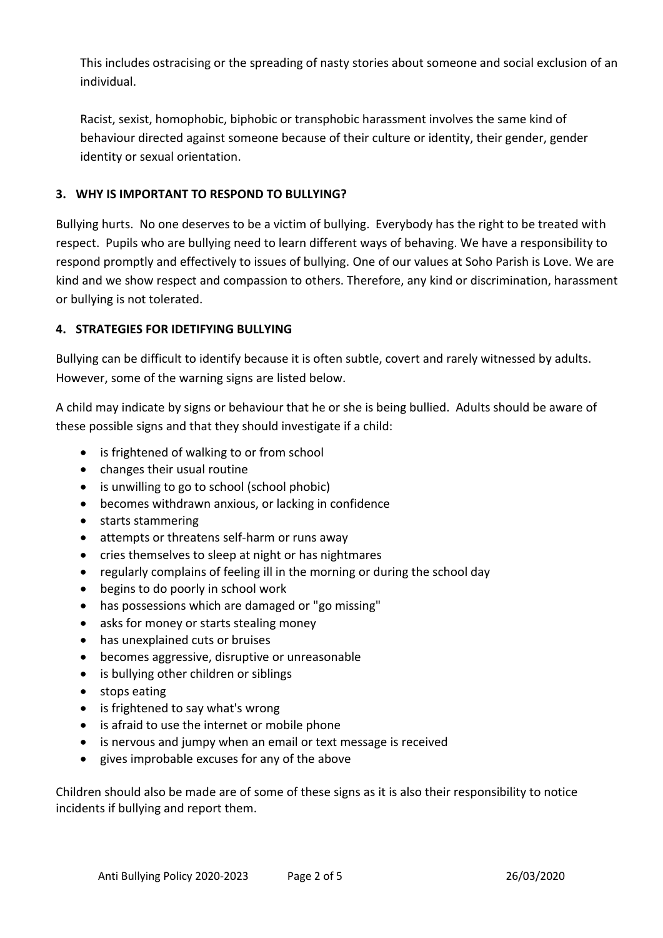This includes ostracising or the spreading of nasty stories about someone and social exclusion of an individual.

Racist, sexist, homophobic, biphobic or transphobic harassment involves the same kind of behaviour directed against someone because of their culture or identity, their gender, gender identity or sexual orientation.

# **3. WHY IS IMPORTANT TO RESPOND TO BULLYING?**

Bullying hurts. No one deserves to be a victim of bullying. Everybody has the right to be treated with respect. Pupils who are bullying need to learn different ways of behaving. We have a responsibility to respond promptly and effectively to issues of bullying. One of our values at Soho Parish is Love. We are kind and we show respect and compassion to others. Therefore, any kind or discrimination, harassment or bullying is not tolerated.

# **4. STRATEGIES FOR IDETIFYING BULLYING**

Bullying can be difficult to identify because it is often subtle, covert and rarely witnessed by adults. However, some of the warning signs are listed below.

A child may indicate by signs or behaviour that he or she is being bullied. Adults should be aware of these possible signs and that they should investigate if a child:

- is frightened of walking to or from school
- changes their usual routine
- is unwilling to go to school (school phobic)
- becomes withdrawn anxious, or lacking in confidence
- starts stammering
- attempts or threatens self-harm or runs away
- cries themselves to sleep at night or has nightmares
- regularly complains of feeling ill in the morning or during the school day
- begins to do poorly in school work
- has possessions which are damaged or "go missing"
- asks for money or starts stealing money
- has unexplained cuts or bruises
- becomes aggressive, disruptive or unreasonable
- is bullying other children or siblings
- stops eating
- is frightened to say what's wrong
- is afraid to use the internet or mobile phone
- is nervous and jumpy when an email or text message is received
- gives improbable excuses for any of the above

Children should also be made are of some of these signs as it is also their responsibility to notice incidents if bullying and report them.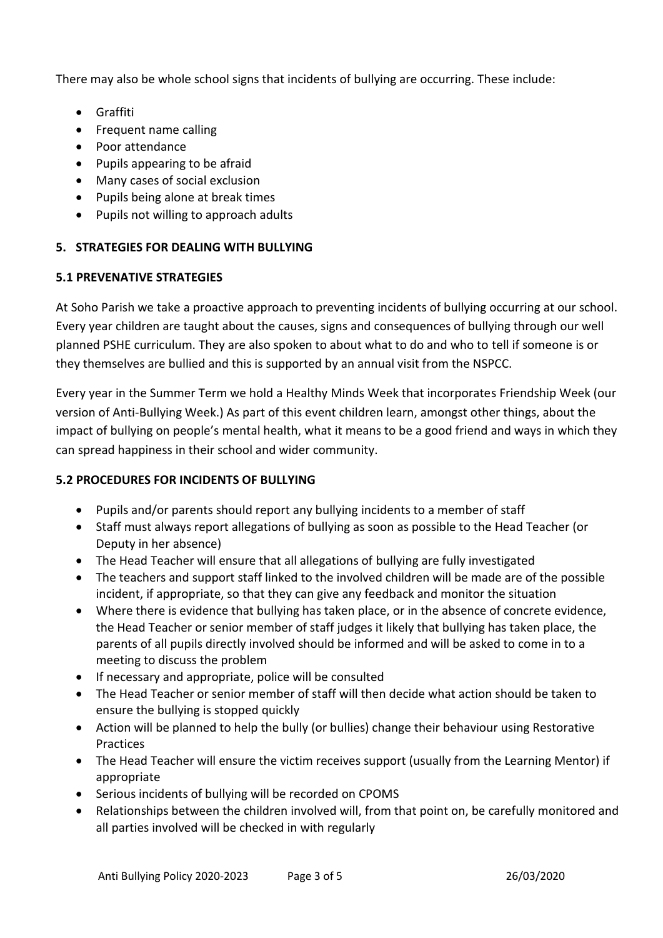There may also be whole school signs that incidents of bullying are occurring. These include:

- Graffiti
- Frequent name calling
- Poor attendance
- Pupils appearing to be afraid
- Many cases of social exclusion
- Pupils being alone at break times
- Pupils not willing to approach adults

## **5. STRATEGIES FOR DEALING WITH BULLYING**

## **5.1 PREVENATIVE STRATEGIES**

At Soho Parish we take a proactive approach to preventing incidents of bullying occurring at our school. Every year children are taught about the causes, signs and consequences of bullying through our well planned PSHE curriculum. They are also spoken to about what to do and who to tell if someone is or they themselves are bullied and this is supported by an annual visit from the NSPCC.

Every year in the Summer Term we hold a Healthy Minds Week that incorporates Friendship Week (our version of Anti-Bullying Week.) As part of this event children learn, amongst other things, about the impact of bullying on people's mental health, what it means to be a good friend and ways in which they can spread happiness in their school and wider community.

## **5.2 PROCEDURES FOR INCIDENTS OF BULLYING**

- Pupils and/or parents should report any bullying incidents to a member of staff
- Staff must always report allegations of bullying as soon as possible to the Head Teacher (or Deputy in her absence)
- The Head Teacher will ensure that all allegations of bullying are fully investigated
- The teachers and support staff linked to the involved children will be made are of the possible incident, if appropriate, so that they can give any feedback and monitor the situation
- Where there is evidence that bullying has taken place, or in the absence of concrete evidence, the Head Teacher or senior member of staff judges it likely that bullying has taken place, the parents of all pupils directly involved should be informed and will be asked to come in to a meeting to discuss the problem
- If necessary and appropriate, police will be consulted
- The Head Teacher or senior member of staff will then decide what action should be taken to ensure the bullying is stopped quickly
- Action will be planned to help the bully (or bullies) change their behaviour using Restorative Practices
- The Head Teacher will ensure the victim receives support (usually from the Learning Mentor) if appropriate
- Serious incidents of bullying will be recorded on CPOMS
- Relationships between the children involved will, from that point on, be carefully monitored and all parties involved will be checked in with regularly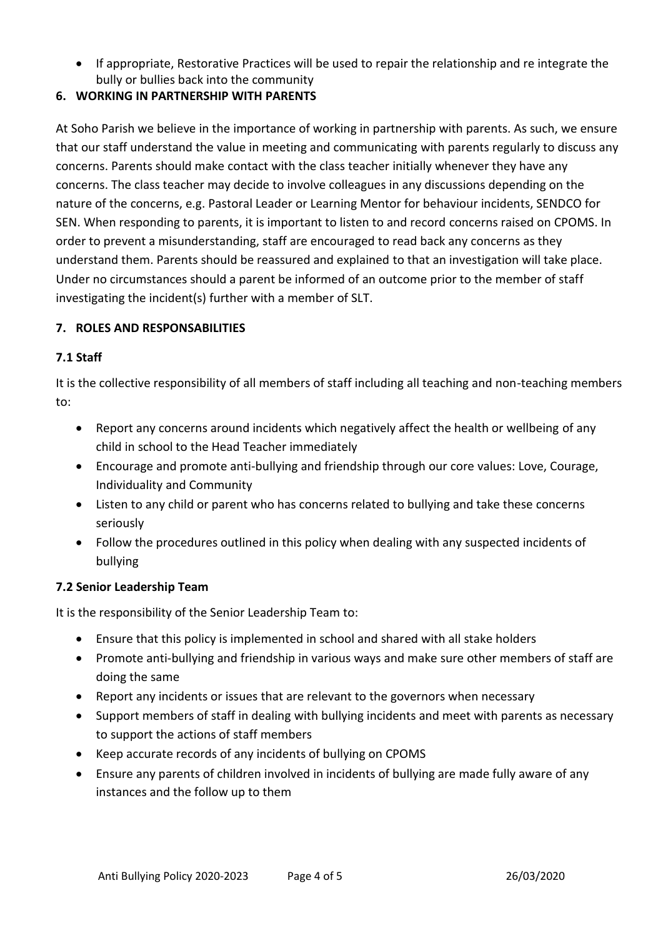If appropriate, Restorative Practices will be used to repair the relationship and re integrate the bully or bullies back into the community

# **6. WORKING IN PARTNERSHIP WITH PARENTS**

At Soho Parish we believe in the importance of working in partnership with parents. As such, we ensure that our staff understand the value in meeting and communicating with parents regularly to discuss any concerns. Parents should make contact with the class teacher initially whenever they have any concerns. The class teacher may decide to involve colleagues in any discussions depending on the nature of the concerns, e.g. Pastoral Leader or Learning Mentor for behaviour incidents, SENDCO for SEN. When responding to parents, it is important to listen to and record concerns raised on CPOMS. In order to prevent a misunderstanding, staff are encouraged to read back any concerns as they understand them. Parents should be reassured and explained to that an investigation will take place. Under no circumstances should a parent be informed of an outcome prior to the member of staff investigating the incident(s) further with a member of SLT.

# **7. ROLES AND RESPONSABILITIES**

## **7.1 Staff**

It is the collective responsibility of all members of staff including all teaching and non-teaching members to:

- Report any concerns around incidents which negatively affect the health or wellbeing of any child in school to the Head Teacher immediately
- Encourage and promote anti-bullying and friendship through our core values: Love, Courage, Individuality and Community
- Listen to any child or parent who has concerns related to bullying and take these concerns seriously
- Follow the procedures outlined in this policy when dealing with any suspected incidents of bullying

## **7.2 Senior Leadership Team**

It is the responsibility of the Senior Leadership Team to:

- Ensure that this policy is implemented in school and shared with all stake holders
- Promote anti-bullying and friendship in various ways and make sure other members of staff are doing the same
- Report any incidents or issues that are relevant to the governors when necessary
- Support members of staff in dealing with bullying incidents and meet with parents as necessary to support the actions of staff members
- Keep accurate records of any incidents of bullying on CPOMS
- Ensure any parents of children involved in incidents of bullying are made fully aware of any instances and the follow up to them